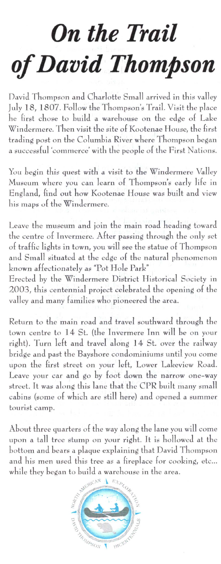## *On the Trail of David Thompson*

David Thompson and Charlotte Small arrived in this valley July 18 , 1807 . Follow the Thompson's Trail. Visit the place he first chose to huild a warehouse on the edge of Lake Windermere. Then visit the site of Kootenae House, the first trading post on the Columbia River where Thompson began a successful 'commerce' with the people of the First Nations.

You begin this quest with a visit to the Windermere Valley Museum where you can learn of Thompson's early life in England, find out how Kootenae House was built and view his maps of the Windermere.

Leave the museum and join the main road heading toward the centre of Invermere. After passing through the only set of traffic lights in town, you will see the statue of Thompson and Small situated at the edge of the natural phenomenon known affectionately as "Pot Hole Park"

Erected hy the Windermere District Historical Society in 2003, this centennial project celebrated the opening of the valley and many families who pioneered the area.

Return to the main road and travel southward through the town centre to 14 St. (the fnvermere Inn will be on your right). Turn left and travel along 14 St. over the railway bridge and past the Bayshore condominiums until you come upon the first street on your left, Lower Lakeview Road. Leave your car and go by foot down the narrow one-way street. It was along this lane that the CPR built many small cabins (some of which are still here) and opened a summer tourist camp.

About three quarters of the way along the lane you will come upon a tall tree stump on your right. It is hollowed at the bottom and bears a plaque explaining that David Thompson and his men used this tree as a fireplace for cooking, etc... while they hegan to build a warehouse in the area.